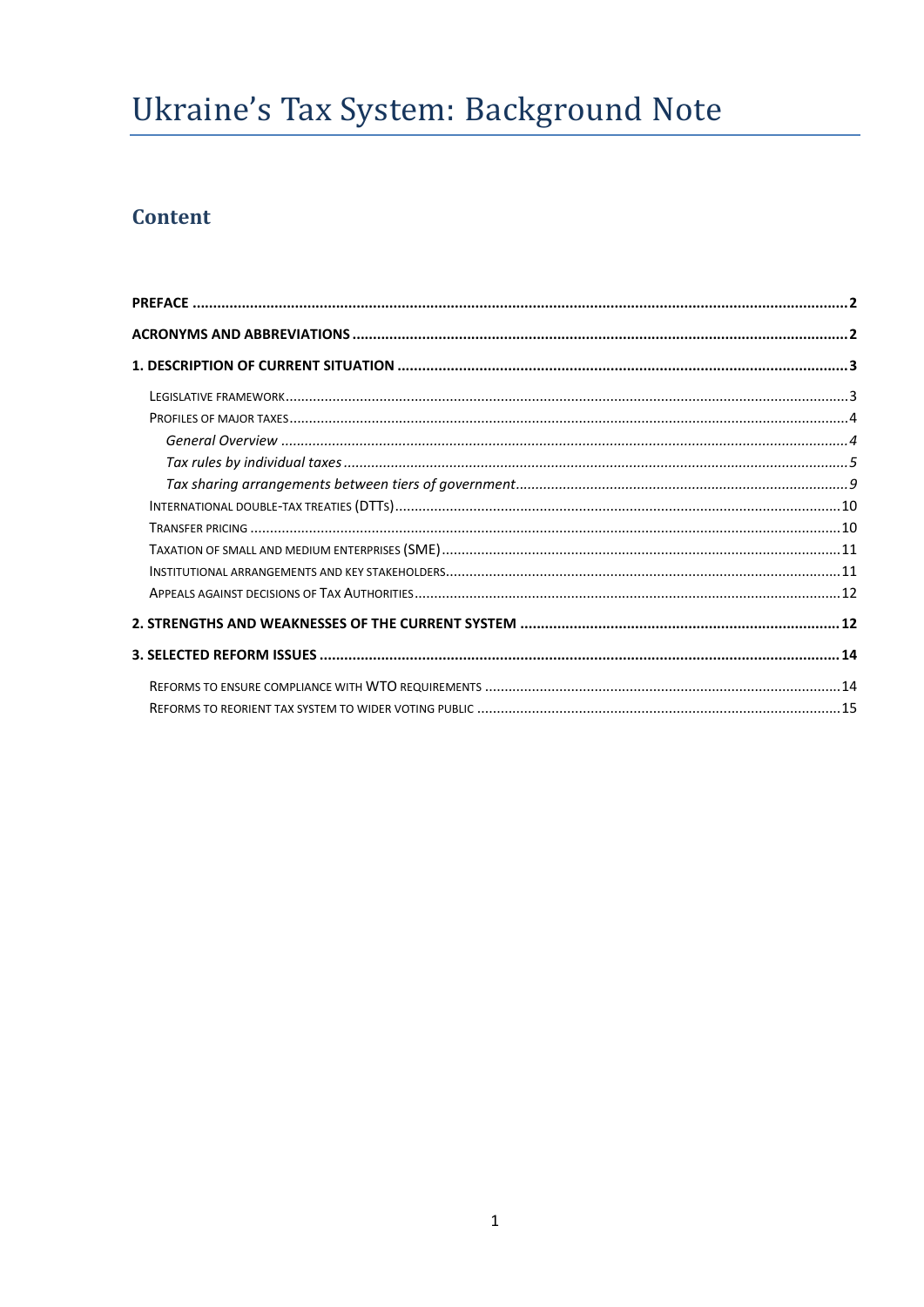# Ukraine's Tax System: Background Note

## **Content**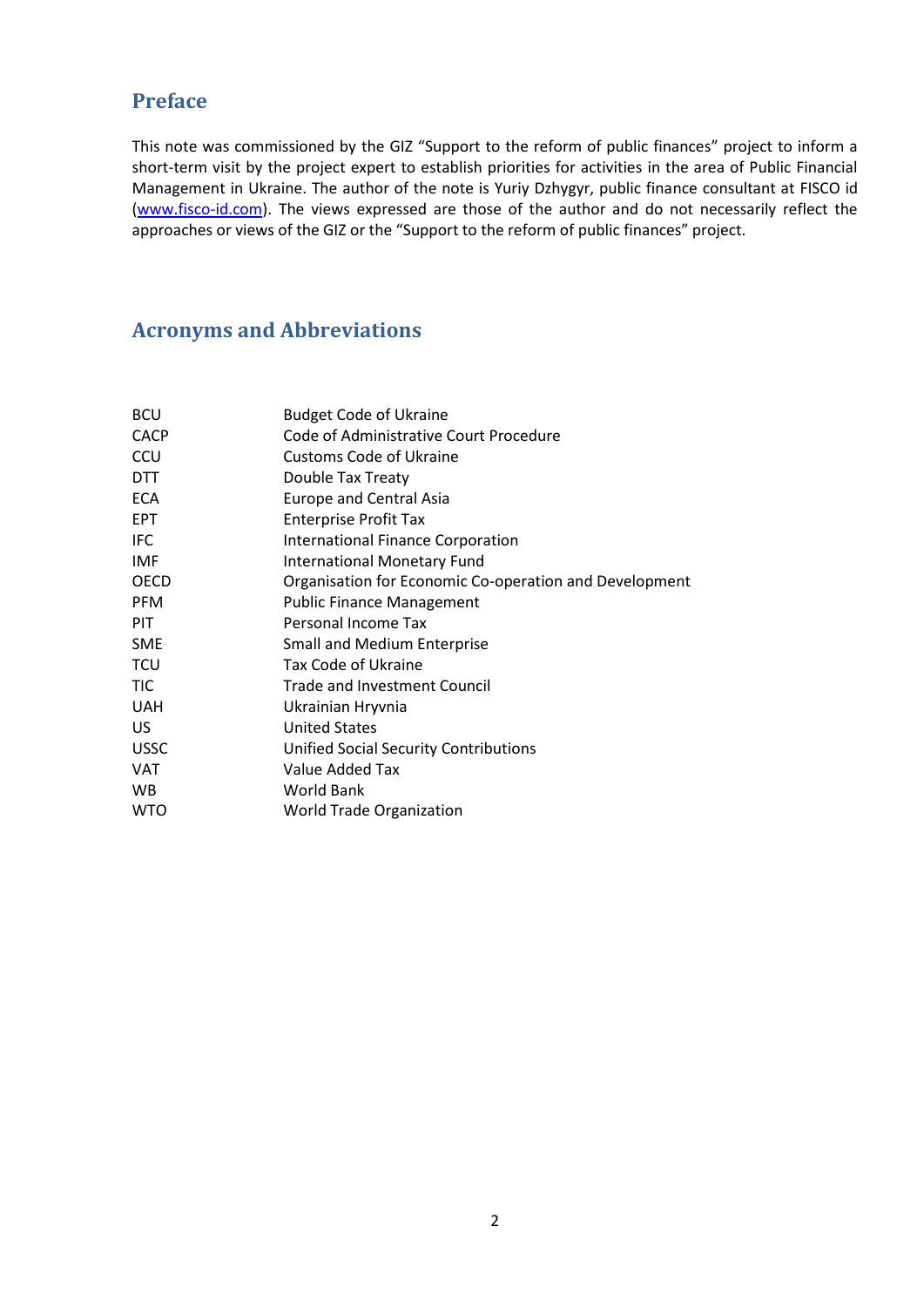### <span id="page-1-0"></span>**Preface**

This note was commissioned by the GIZ "Support to the reform of public finances" project to inform a short-term visit by the project expert to establish priorities for activities in the area of Public Financial Management in Ukraine. The author of the note is Yuriy Dzhygyr, public finance consultant at FISCO id [\(www.fisco-id.com\)](http://www.fisco-id.com/). The views expressed are those of the author and do not necessarily reflect the approaches or views of the GIZ or the "Support to the reform of public finances" project.

### <span id="page-1-1"></span>**Acronyms and Abbreviations**

| <b>BCU</b>  | <b>Budget Code of Ukraine</b>                          |
|-------------|--------------------------------------------------------|
| <b>CACP</b> | Code of Administrative Court Procedure                 |
| CCU         | <b>Customs Code of Ukraine</b>                         |
| <b>DTT</b>  | Double Tax Treaty                                      |
| <b>ECA</b>  | <b>Europe and Central Asia</b>                         |
| <b>EPT</b>  | <b>Enterprise Profit Tax</b>                           |
| IFC         | <b>International Finance Corporation</b>               |
| <b>IMF</b>  | <b>International Monetary Fund</b>                     |
| <b>OECD</b> | Organisation for Economic Co-operation and Development |
| <b>PFM</b>  | <b>Public Finance Management</b>                       |
| <b>PIT</b>  | Personal Income Tax                                    |
| <b>SME</b>  | <b>Small and Medium Enterprise</b>                     |
| TCU         | Tax Code of Ukraine                                    |
| TIC         | Trade and Investment Council                           |
| <b>UAH</b>  | Ukrainian Hryvnia                                      |
| US.         | <b>United States</b>                                   |
| <b>USSC</b> | <b>Unified Social Security Contributions</b>           |
| <b>VAT</b>  | Value Added Tax                                        |
| <b>WB</b>   | <b>World Bank</b>                                      |
| <b>WTO</b>  | <b>World Trade Organization</b>                        |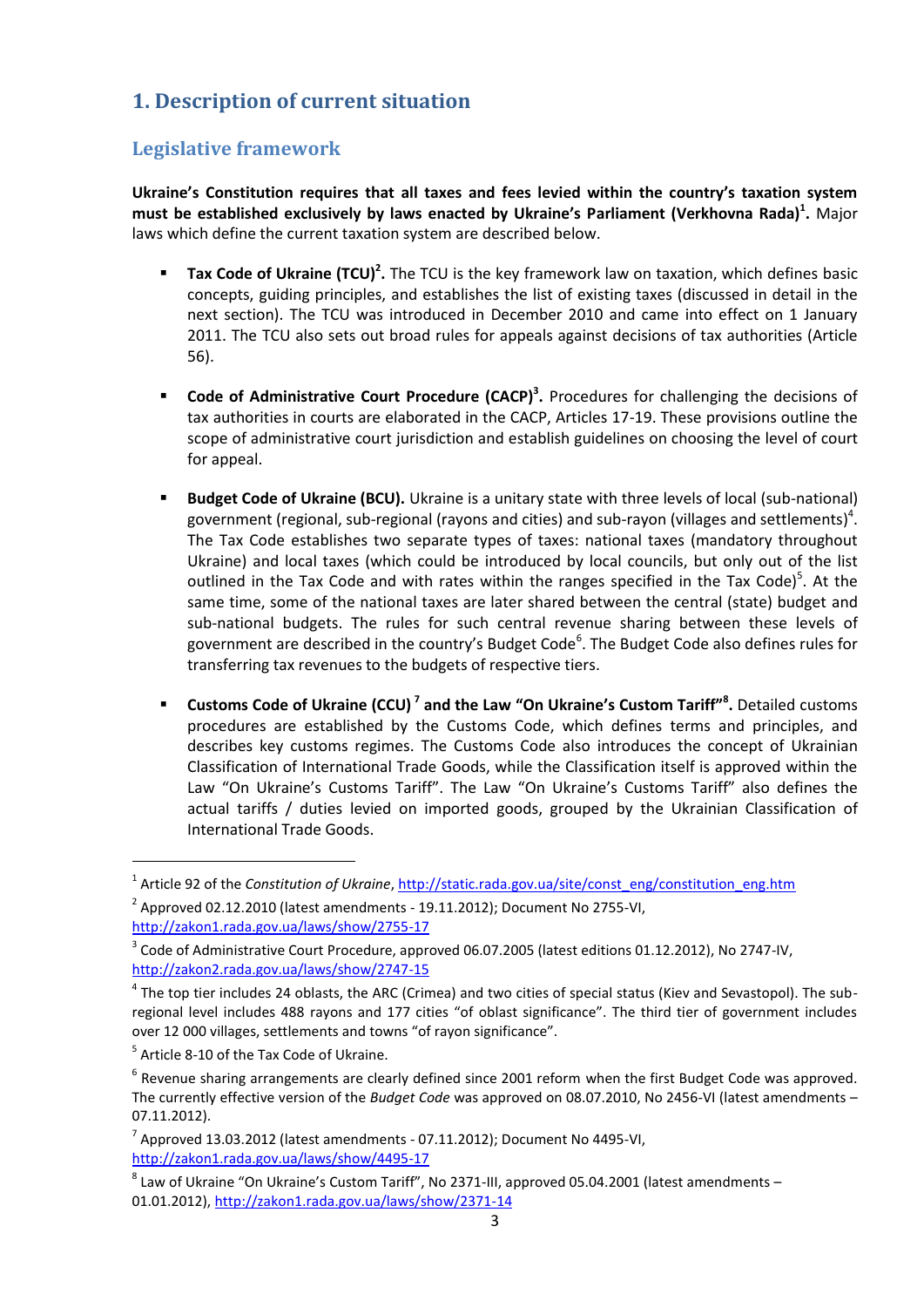### <span id="page-2-0"></span>**1. Description of current situation**

### <span id="page-2-1"></span>**Legislative framework**

**Ukraine's Constitution requires that all taxes and fees levied within the country's taxation system must be established exclusively by laws enacted by Ukraine's Parliament (Verkhovna Rada)<sup>1</sup> .** Major laws which define the current taxation system are described below.

- **Tax Code of Ukraine (TCU)<sup>2</sup>.** The TCU is the key framework law on taxation, which defines basic concepts, guiding principles, and establishes the list of existing taxes (discussed in detail in the next section). The TCU was introduced in December 2010 and came into effect on 1 January 2011. The TCU also sets out broad rules for appeals against decisions of tax authorities (Article 56).
- **Code of Administrative Court Procedure (CACP)<sup>3</sup> .** Procedures for challenging the decisions of tax authorities in courts are elaborated in the CACP, Articles 17-19. These provisions outline the scope of administrative court jurisdiction and establish guidelines on choosing the level of court for appeal.
- **Budget Code of Ukraine (BCU).** Ukraine is a unitary state with three levels of local (sub-national) government (regional, sub-regional (rayons and cities) and sub-rayon (villages and settlements)<sup>4</sup>. The Tax Code establishes two separate types of taxes: national taxes (mandatory throughout Ukraine) and local taxes (which could be introduced by local councils, but only out of the list outlined in the Tax Code and with rates within the ranges specified in the Tax Code)<sup>5</sup>. At the same time, some of the national taxes are later shared between the central (state) budget and sub-national budgets. The rules for such central revenue sharing between these levels of government are described in the country's Budget Code<sup>6</sup>. The Budget Code also defines rules for transferring tax revenues to the budgets of respective tiers.
- **Customs Code of Ukraine (CCU) <sup>7</sup> and the Law "On Ukraine's Custom Tariff"<sup>8</sup> .** Detailed customs procedures are established by the Customs Code, which defines terms and principles, and describes key customs regimes. The Customs Code also introduces the concept of Ukrainian Classification of International Trade Goods, while the Classification itself is approved within the Law "On Ukraine's Customs Tariff". The Law "On Ukraine's Customs Tariff" also defines the actual tariffs / duties levied on imported goods, grouped by the Ukrainian Classification of International Trade Goods.

<sup>&</sup>lt;sup>1</sup> Article 92 of the *Constitution of Ukraine*[, http://static.rada.gov.ua/site/const\\_eng/constitution\\_eng.htm](http://static.rada.gov.ua/site/const_eng/constitution_eng.htm)

 $^2$  Approved 02.12.2010 (latest amendments - 19.11.2012); Document No 2755-VI, <http://zakon1.rada.gov.ua/laws/show/2755-17>

<sup>&</sup>lt;sup>3</sup> Code of Administrative Court Procedure, approved 06.07.2005 (latest editions 01.12.2012), No 2747-IV, <http://zakon2.rada.gov.ua/laws/show/2747-15>

 $^4$  The top tier includes 24 oblasts, the ARC (Crimea) and two cities of special status (Kiev and Sevastopol). The subregional level includes 488 rayons and 177 cities "of oblast significance". The third tier of government includes over 12 000 villages, settlements and towns "of rayon significance".

<sup>&</sup>lt;sup>5</sup> Article 8-10 of the Tax Code of Ukraine.

 $<sup>6</sup>$  Revenue sharing arrangements are clearly defined since 2001 reform when the first Budget Code was approved.</sup> The currently effective version of the *Budget Code* was approved on 08.07.2010, No 2456-VI (latest amendments – 07.11.2012).

 $^7$  Approved 13.03.2012 (latest amendments - 07.11.2012); Document No 4495-VI, <http://zakon1.rada.gov.ua/laws/show/4495-17>

 $^8$  Law of Ukraine "On Ukraine's Custom Tariff", No 2371-III, approved 05.04.2001 (latest amendments – 01.01.2012)[, http://zakon1.rada.gov.ua/laws/show/2371-14](http://zakon1.rada.gov.ua/laws/show/2371-14)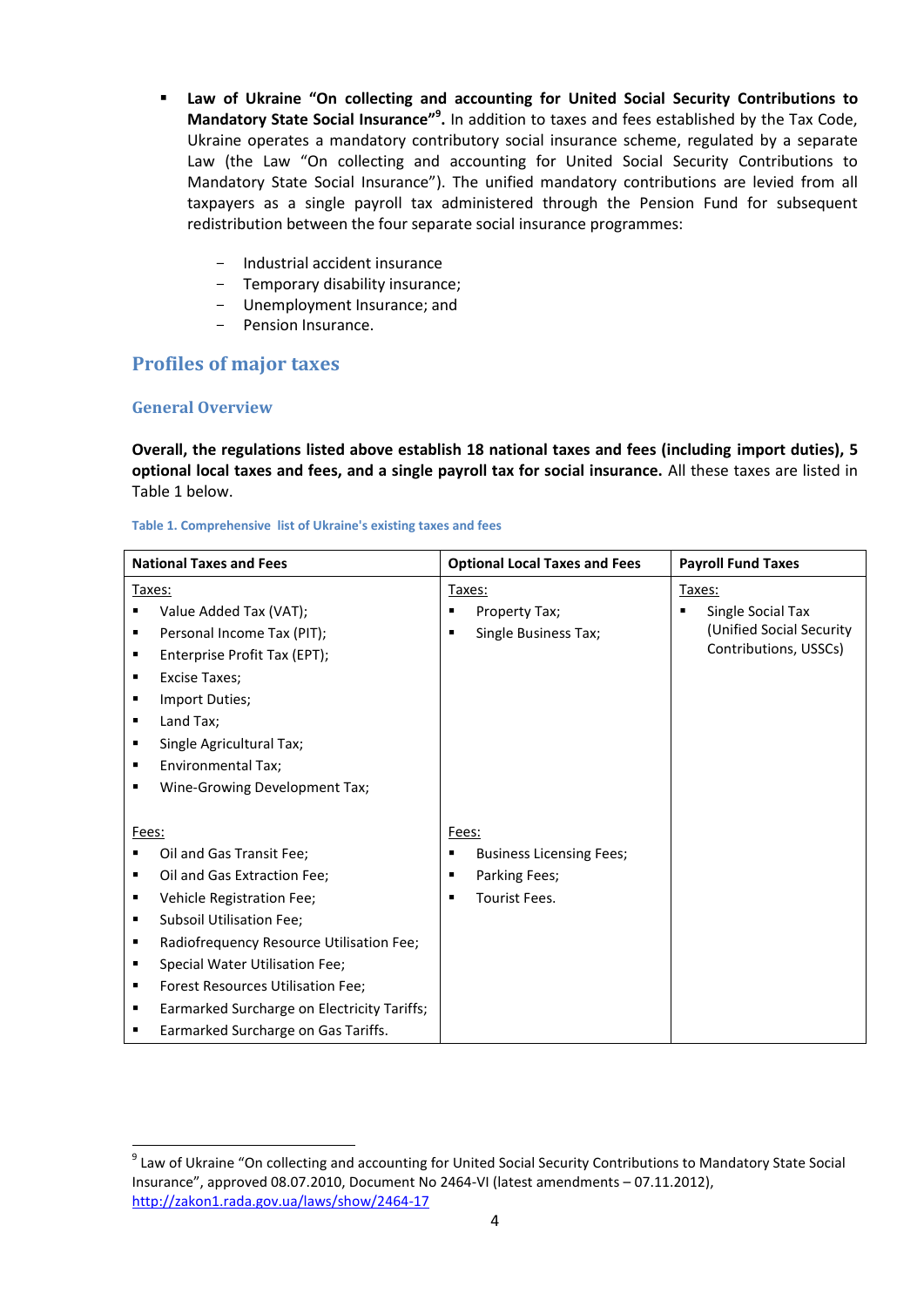- **Law of Ukraine "On collecting and accounting for United Social Security Contributions to Mandatory State Social Insurance"<sup>9</sup> .** In addition to taxes and fees established by the Tax Code, Ukraine operates a mandatory contributory social insurance scheme, regulated by a separate Law (the Law "On collecting and accounting for United Social Security Contributions to Mandatory State Social Insurance"). The unified mandatory contributions are levied from all taxpayers as a single payroll tax administered through the Pension Fund for subsequent redistribution between the four separate social insurance programmes:
	- Industrial accident insurance
	- Temporary disability insurance;
	- Unemployment Insurance; and
	- Pension Insurance.

### <span id="page-3-0"></span>**Profiles of major taxes**

#### <span id="page-3-1"></span>**General Overview**

**.** 

**Overall, the regulations listed above establish 18 national taxes and fees (including import duties), 5 optional local taxes and fees, and a single payroll tax for social insurance.** All these taxes are listed in [Table 1](#page-3-2) below.

#### <span id="page-3-2"></span>**Table 1. Comprehensive list of Ukraine's existing taxes and fees**

|       | <b>National Taxes and Fees</b>              |       | <b>Optional Local Taxes and Fees</b> |   | <b>Payroll Fund Taxes</b> |
|-------|---------------------------------------------|-------|--------------------------------------|---|---------------------------|
|       | Taxes:                                      |       | Taxes:                               |   | Taxes:                    |
|       | Value Added Tax (VAT);                      | ٠     | Property Tax;                        | ٠ | Single Social Tax         |
| ٠     | Personal Income Tax (PIT);                  | ٠     | Single Business Tax;                 |   | (Unified Social Security  |
| ٠     | Enterprise Profit Tax (EPT);                |       |                                      |   | Contributions, USSCs)     |
| ٠     | <b>Excise Taxes:</b>                        |       |                                      |   |                           |
|       | Import Duties;                              |       |                                      |   |                           |
| ٠     | Land Tax;                                   |       |                                      |   |                           |
| ٠     | Single Agricultural Tax;                    |       |                                      |   |                           |
| ٠     | Environmental Tax;                          |       |                                      |   |                           |
| г     | Wine-Growing Development Tax;               |       |                                      |   |                           |
|       |                                             |       |                                      |   |                           |
| Fees: |                                             | Fees: |                                      |   |                           |
|       | Oil and Gas Transit Fee;                    |       | <b>Business Licensing Fees;</b>      |   |                           |
| ٠     | Oil and Gas Extraction Fee;                 | ٠     | Parking Fees;                        |   |                           |
| ٠     | Vehicle Registration Fee;                   | п     | Tourist Fees.                        |   |                           |
| ٠     | Subsoil Utilisation Fee;                    |       |                                      |   |                           |
| ٠     | Radiofrequency Resource Utilisation Fee;    |       |                                      |   |                           |
| ٠     | Special Water Utilisation Fee;              |       |                                      |   |                           |
| ٠     | Forest Resources Utilisation Fee;           |       |                                      |   |                           |
| ٠     | Earmarked Surcharge on Electricity Tariffs; |       |                                      |   |                           |
| ٠     | Earmarked Surcharge on Gas Tariffs.         |       |                                      |   |                           |

<sup>&</sup>lt;sup>9</sup> Law of Ukraine "On collecting and accounting for United Social Security Contributions to Mandatory State Social Insurance", approved 08.07.2010, Document No 2464-VI (latest amendments – 07.11.2012), <http://zakon1.rada.gov.ua/laws/show/2464-17>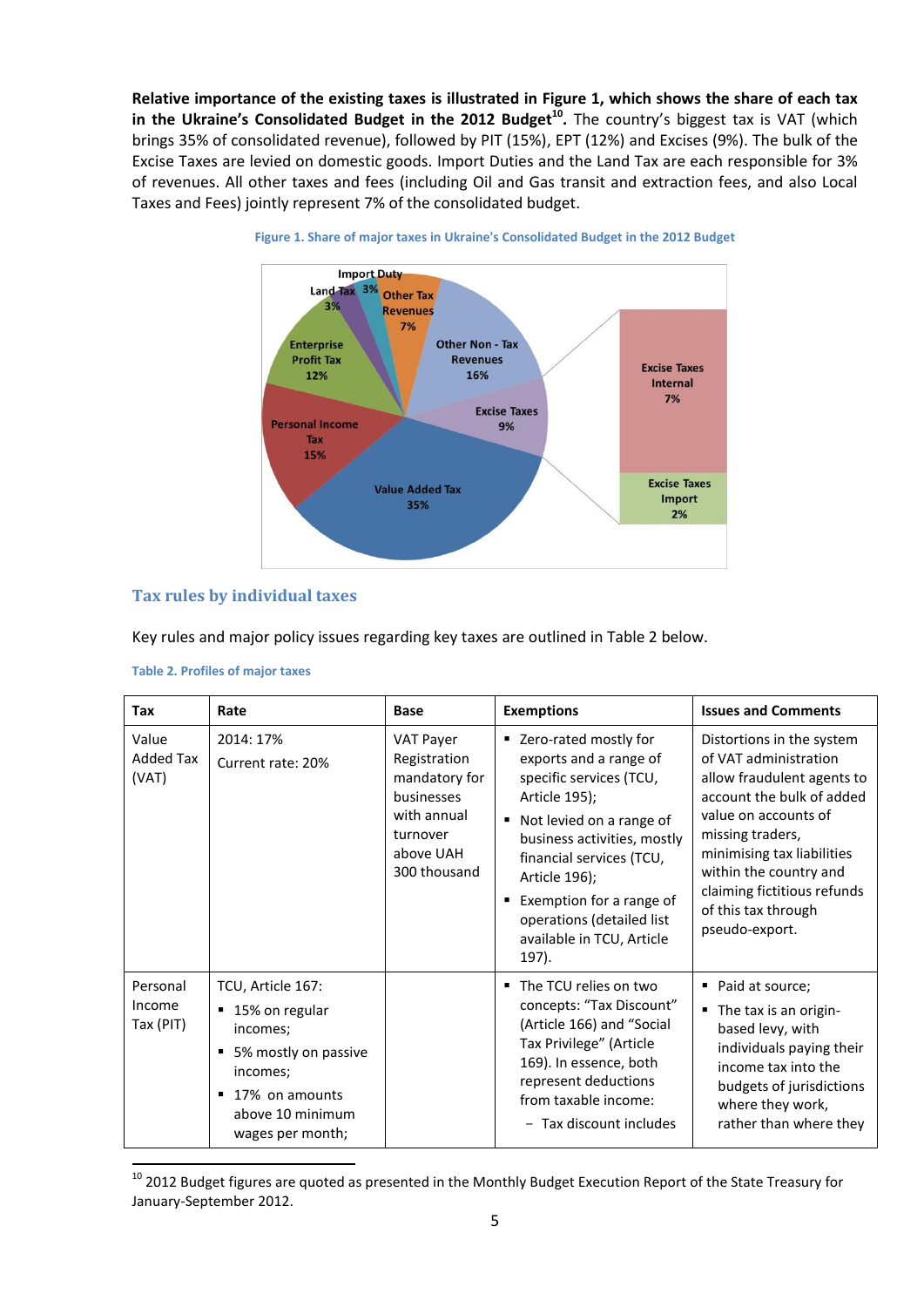**Relative importance of the existing taxes is illustrated in [Figure 1,](#page-4-1) which shows the share of each tax in the Ukraine's Consolidated Budget in the 2012 Budget<sup>10</sup> .** The country's biggest tax is VAT (which brings 35% of consolidated revenue), followed by PIT (15%), EPT (12%) and Excises (9%). The bulk of the Excise Taxes are levied on domestic goods. Import Duties and the Land Tax are each responsible for 3% of revenues. All other taxes and fees (including Oil and Gas transit and extraction fees, and also Local Taxes and Fees) jointly represent 7% of the consolidated budget.

<span id="page-4-1"></span>



#### <span id="page-4-0"></span>**Tax rules by individual taxes**

Key rules and major policy issues regarding key taxes are outlined in [Table 2](#page-4-2) below.

| <b>Tax</b>                         | Rate                                                                                                                                                 | <b>Base</b>                                                                                                      | <b>Exemptions</b>                                                                                                                                                                                                                                                                                           | <b>Issues and Comments</b>                                                                                                                                                                                                                                                                |
|------------------------------------|------------------------------------------------------------------------------------------------------------------------------------------------------|------------------------------------------------------------------------------------------------------------------|-------------------------------------------------------------------------------------------------------------------------------------------------------------------------------------------------------------------------------------------------------------------------------------------------------------|-------------------------------------------------------------------------------------------------------------------------------------------------------------------------------------------------------------------------------------------------------------------------------------------|
| Value<br><b>Added Tax</b><br>(VAT) | 2014: 17%<br>Current rate: 20%                                                                                                                       | VAT Payer<br>Registration<br>mandatory for<br>businesses<br>with annual<br>turnover<br>above UAH<br>300 thousand | ■ Zero-rated mostly for<br>exports and a range of<br>specific services (TCU,<br>Article 195);<br>■ Not levied on a range of<br>business activities, mostly<br>financial services (TCU,<br>Article 196);<br>Exemption for a range of<br>٠<br>operations (detailed list<br>available in TCU, Article<br>197). | Distortions in the system<br>of VAT administration<br>allow fraudulent agents to<br>account the bulk of added<br>value on accounts of<br>missing traders,<br>minimising tax liabilities<br>within the country and<br>claiming fictitious refunds<br>of this tax through<br>pseudo-export. |
| Personal<br>Income<br>Tax (PIT)    | TCU, Article 167:<br>■ 15% on regular<br>incomes;<br>5% mostly on passive<br>incomes;<br>17% on amounts<br>٠<br>above 10 minimum<br>wages per month; |                                                                                                                  | The TCU relies on two<br>٠<br>concepts: "Tax Discount"<br>(Article 166) and "Social<br>Tax Privilege" (Article<br>169). In essence, both<br>represent deductions<br>from taxable income:<br>- Tax discount includes                                                                                         | Paid at source;<br>٠<br>The tax is an origin-<br>٠<br>based levy, with<br>individuals paying their<br>income tax into the<br>budgets of jurisdictions<br>where they work,<br>rather than where they                                                                                       |

```
Table 2. Profiles of major taxes
```
 $^{10}$  2012 Budget figures are quoted as presented in the Monthly Budget Execution Report of the State Treasury for January-September 2012.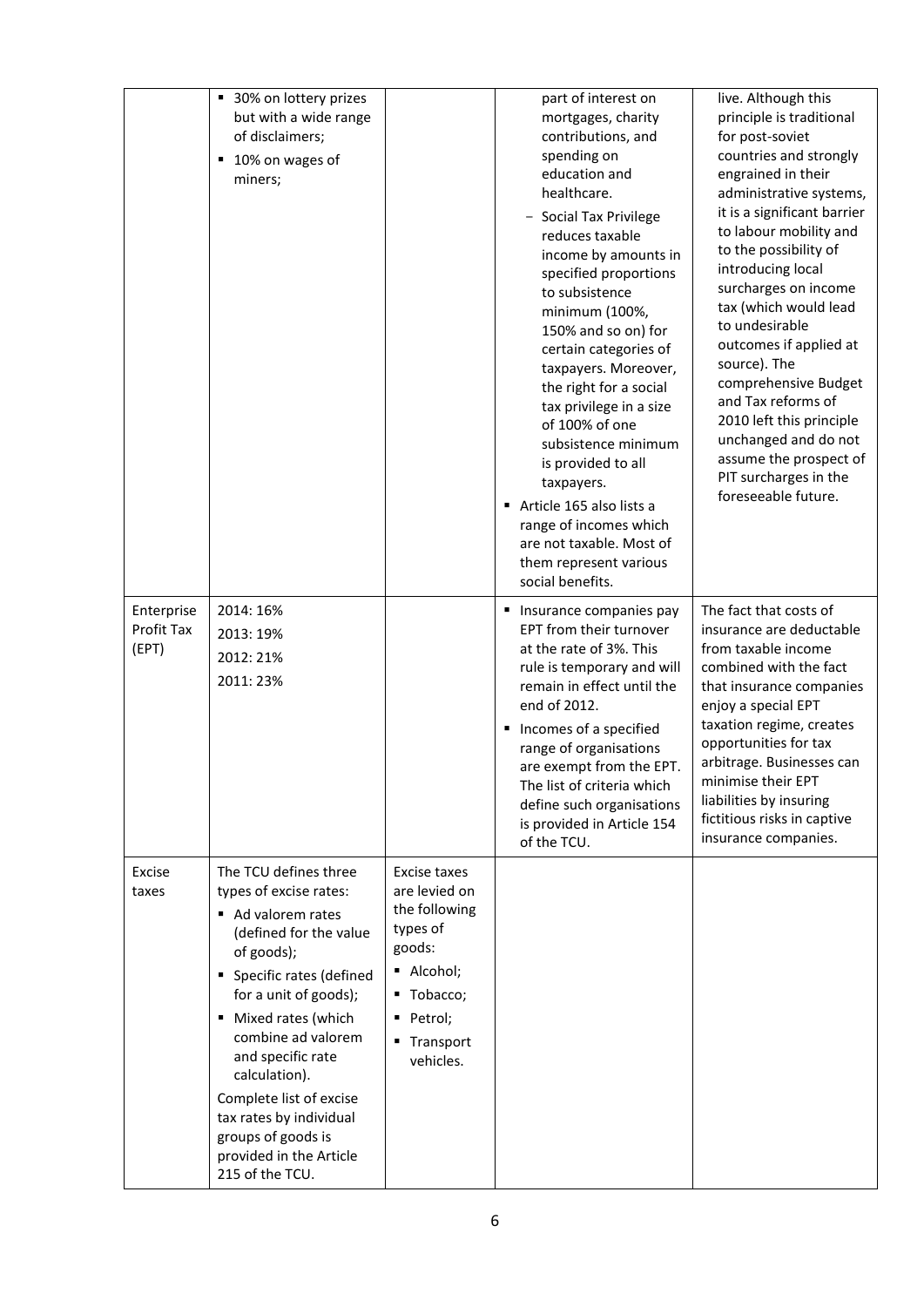|                                   | ■ 30% on lottery prizes<br>but with a wide range<br>of disclaimers;<br>10% on wages of<br>٠<br>miners;                                                                                                                                                                                                                                                                             |                                                                                                                                         | part of interest on<br>mortgages, charity<br>contributions, and<br>spending on<br>education and<br>healthcare.<br>Social Tax Privilege<br>reduces taxable<br>income by amounts in<br>specified proportions<br>to subsistence<br>minimum (100%,<br>150% and so on) for<br>certain categories of<br>taxpayers. Moreover,<br>the right for a social<br>tax privilege in a size<br>of 100% of one<br>subsistence minimum<br>is provided to all<br>taxpayers.<br>Article 165 also lists a<br>range of incomes which<br>are not taxable. Most of<br>them represent various<br>social benefits. | live. Although this<br>principle is traditional<br>for post-soviet<br>countries and strongly<br>engrained in their<br>administrative systems,<br>it is a significant barrier<br>to labour mobility and<br>to the possibility of<br>introducing local<br>surcharges on income<br>tax (which would lead<br>to undesirable<br>outcomes if applied at<br>source). The<br>comprehensive Budget<br>and Tax reforms of<br>2010 left this principle<br>unchanged and do not<br>assume the prospect of<br>PIT surcharges in the<br>foreseeable future. |
|-----------------------------------|------------------------------------------------------------------------------------------------------------------------------------------------------------------------------------------------------------------------------------------------------------------------------------------------------------------------------------------------------------------------------------|-----------------------------------------------------------------------------------------------------------------------------------------|------------------------------------------------------------------------------------------------------------------------------------------------------------------------------------------------------------------------------------------------------------------------------------------------------------------------------------------------------------------------------------------------------------------------------------------------------------------------------------------------------------------------------------------------------------------------------------------|-----------------------------------------------------------------------------------------------------------------------------------------------------------------------------------------------------------------------------------------------------------------------------------------------------------------------------------------------------------------------------------------------------------------------------------------------------------------------------------------------------------------------------------------------|
| Enterprise<br>Profit Tax<br>(EPT) | 2014: 16%<br>2013: 19%<br>2012: 21%<br>2011:23%                                                                                                                                                                                                                                                                                                                                    |                                                                                                                                         | ■ Insurance companies pay<br>EPT from their turnover<br>at the rate of 3%. This<br>rule is temporary and will<br>remain in effect until the<br>end of 2012.<br>Incomes of a specified<br>range of organisations<br>are exempt from the EPT.<br>The list of criteria which<br>define such organisations<br>is provided in Article 154<br>of the TCU.                                                                                                                                                                                                                                      | The fact that costs of<br>insurance are deductable<br>from taxable income<br>combined with the fact<br>that insurance companies<br>enjoy a special EPT<br>taxation regime, creates<br>opportunities for tax<br>arbitrage. Businesses can<br>minimise their EPT<br>liabilities by insuring<br>fictitious risks in captive<br>insurance companies.                                                                                                                                                                                              |
| Excise<br>taxes                   | The TCU defines three<br>types of excise rates:<br>Ad valorem rates<br>(defined for the value<br>of goods);<br>• Specific rates (defined<br>for a unit of goods);<br>Mixed rates (which<br>٠<br>combine ad valorem<br>and specific rate<br>calculation).<br>Complete list of excise<br>tax rates by individual<br>groups of goods is<br>provided in the Article<br>215 of the TCU. | Excise taxes<br>are levied on<br>the following<br>types of<br>goods:<br>Alcohol;<br>■ Tobacco;<br>· Petrol;<br>■ Transport<br>vehicles. |                                                                                                                                                                                                                                                                                                                                                                                                                                                                                                                                                                                          |                                                                                                                                                                                                                                                                                                                                                                                                                                                                                                                                               |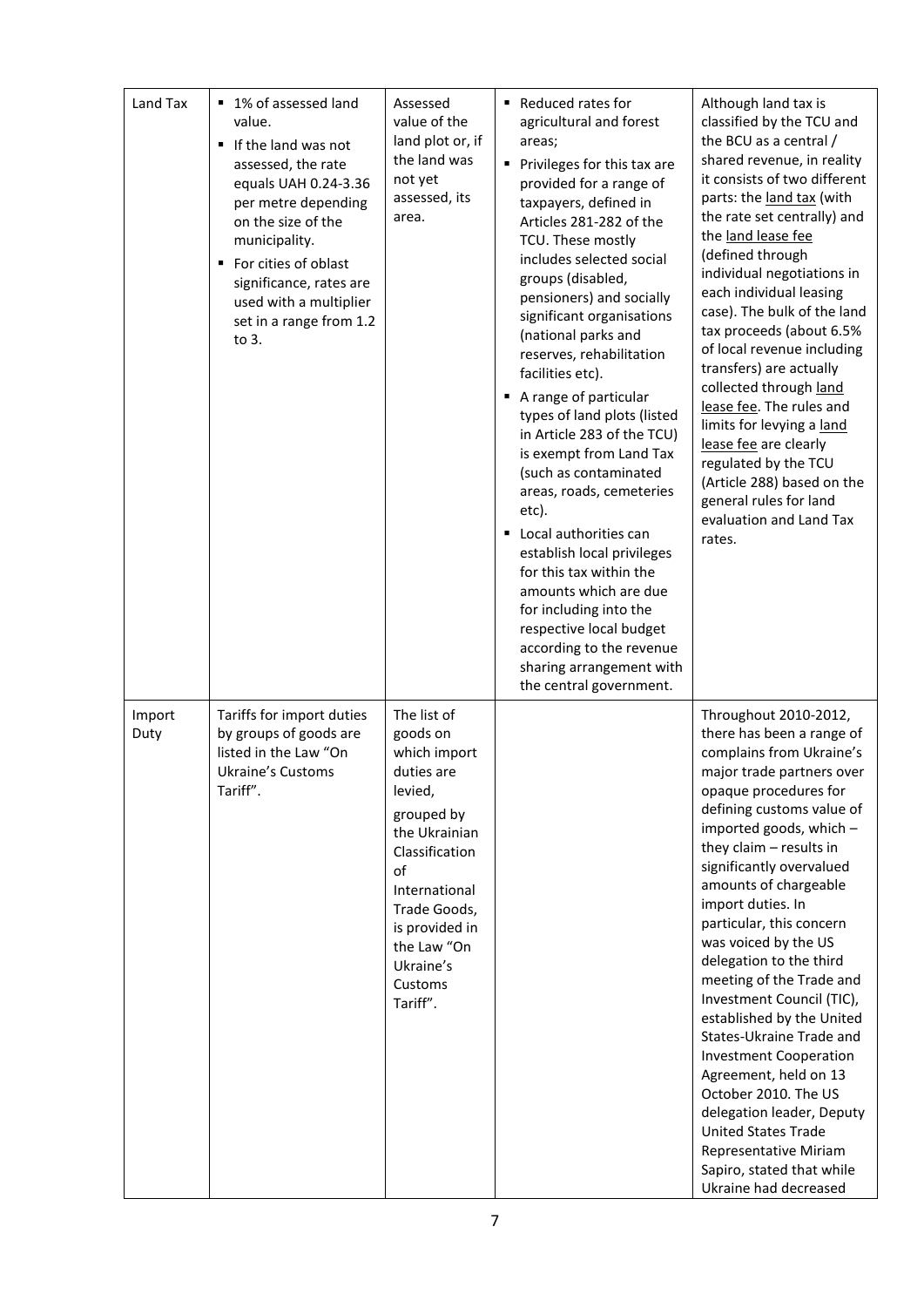| Land Tax       | 1% of assessed land<br>٠<br>value.<br>If the land was not<br>٠<br>assessed, the rate<br>equals UAH 0.24-3.36<br>per metre depending<br>on the size of the<br>municipality.<br>For cities of oblast<br>significance, rates are<br>used with a multiplier<br>set in a range from 1.2<br>to 3. | Assessed<br>value of the<br>land plot or, if<br>the land was<br>not yet<br>assessed, its<br>area.                                                                                                                             | ■ Reduced rates for<br>agricultural and forest<br>areas;<br>Privileges for this tax are<br>provided for a range of<br>taxpayers, defined in<br>Articles 281-282 of the<br>TCU. These mostly<br>includes selected social<br>groups (disabled,<br>pensioners) and socially<br>significant organisations<br>(national parks and<br>reserves, rehabilitation<br>facilities etc).<br>A range of particular<br>types of land plots (listed<br>in Article 283 of the TCU)<br>is exempt from Land Tax<br>(such as contaminated<br>areas, roads, cemeteries<br>etc).<br>Local authorities can<br>establish local privileges<br>for this tax within the<br>amounts which are due<br>for including into the<br>respective local budget<br>according to the revenue<br>sharing arrangement with<br>the central government. | Although land tax is<br>classified by the TCU and<br>the BCU as a central /<br>shared revenue, in reality<br>it consists of two different<br>parts: the land tax (with<br>the rate set centrally) and<br>the land lease fee<br>(defined through<br>individual negotiations in<br>each individual leasing<br>case). The bulk of the land<br>tax proceeds (about 6.5%<br>of local revenue including<br>transfers) are actually<br>collected through land<br>lease fee. The rules and<br>limits for levying a land<br>lease fee are clearly<br>regulated by the TCU<br>(Article 288) based on the<br>general rules for land<br>evaluation and Land Tax<br>rates.                                                                  |
|----------------|---------------------------------------------------------------------------------------------------------------------------------------------------------------------------------------------------------------------------------------------------------------------------------------------|-------------------------------------------------------------------------------------------------------------------------------------------------------------------------------------------------------------------------------|----------------------------------------------------------------------------------------------------------------------------------------------------------------------------------------------------------------------------------------------------------------------------------------------------------------------------------------------------------------------------------------------------------------------------------------------------------------------------------------------------------------------------------------------------------------------------------------------------------------------------------------------------------------------------------------------------------------------------------------------------------------------------------------------------------------|--------------------------------------------------------------------------------------------------------------------------------------------------------------------------------------------------------------------------------------------------------------------------------------------------------------------------------------------------------------------------------------------------------------------------------------------------------------------------------------------------------------------------------------------------------------------------------------------------------------------------------------------------------------------------------------------------------------------------------|
| Import<br>Duty | Tariffs for import duties<br>by groups of goods are<br>listed in the Law "On<br><b>Ukraine's Customs</b><br>Tariff".                                                                                                                                                                        | The list of<br>goods on<br>which import<br>duties are<br>levied,<br>grouped by<br>the Ukrainian<br>Classification<br>of<br>International<br>Trade Goods,<br>is provided in<br>the Law "On<br>Ukraine's<br>Customs<br>Tariff". |                                                                                                                                                                                                                                                                                                                                                                                                                                                                                                                                                                                                                                                                                                                                                                                                                | Throughout 2010-2012,<br>there has been a range of<br>complains from Ukraine's<br>major trade partners over<br>opaque procedures for<br>defining customs value of<br>imported goods, which -<br>they claim - results in<br>significantly overvalued<br>amounts of chargeable<br>import duties. In<br>particular, this concern<br>was voiced by the US<br>delegation to the third<br>meeting of the Trade and<br>Investment Council (TIC),<br>established by the United<br>States-Ukraine Trade and<br><b>Investment Cooperation</b><br>Agreement, held on 13<br>October 2010. The US<br>delegation leader, Deputy<br><b>United States Trade</b><br>Representative Miriam<br>Sapiro, stated that while<br>Ukraine had decreased |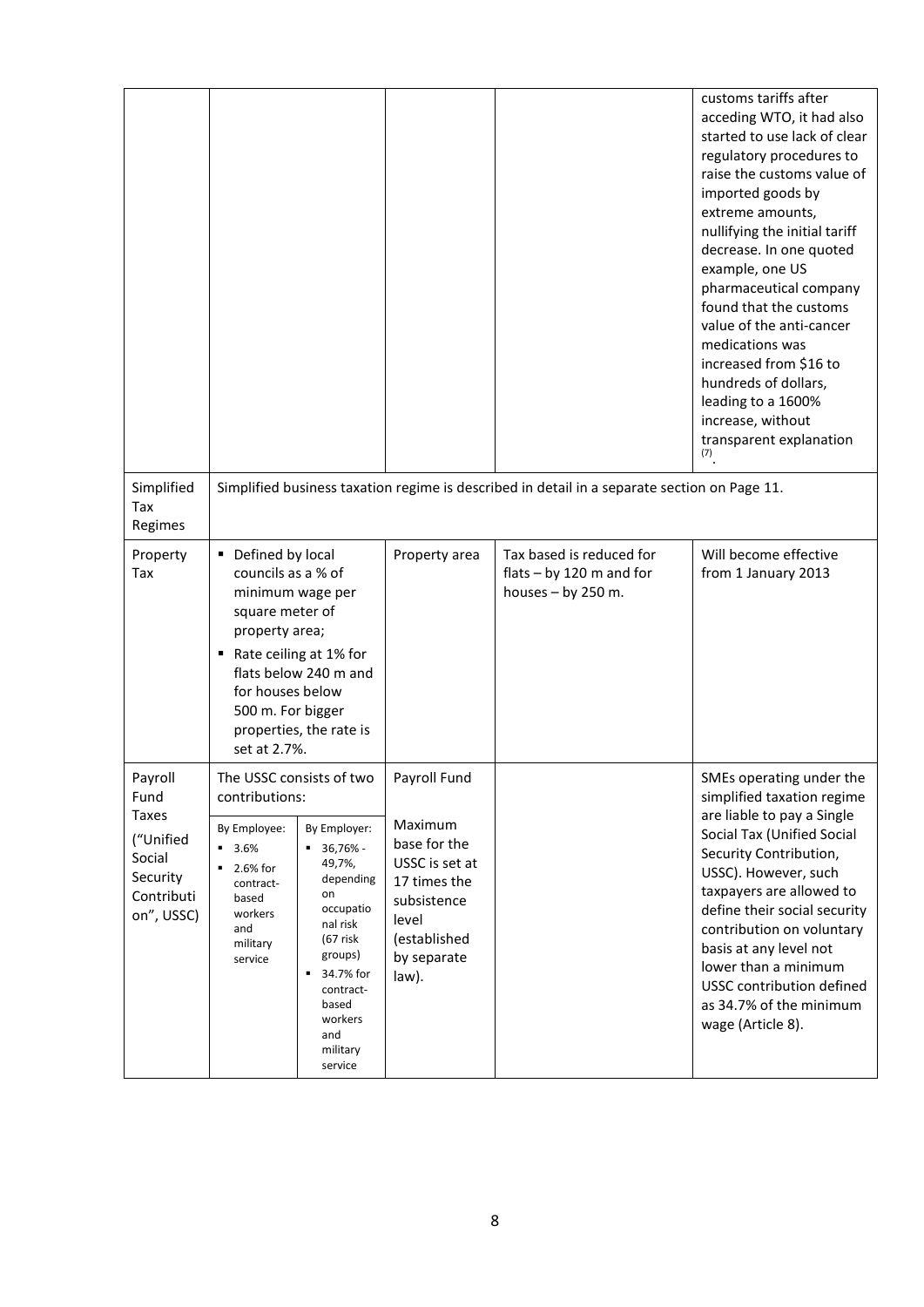|                                                             |                                                                                                                                                          |                                                                                                                                                                                          |                                                                                                                           |                                                                                              | customs tariffs after<br>acceding WTO, it had also<br>started to use lack of clear<br>regulatory procedures to<br>raise the customs value of<br>imported goods by<br>extreme amounts,<br>nullifying the initial tariff<br>decrease. In one quoted<br>example, one US<br>pharmaceutical company<br>found that the customs<br>value of the anti-cancer<br>medications was<br>increased from \$16 to<br>hundreds of dollars,<br>leading to a 1600%<br>increase, without<br>transparent explanation<br>(7) |
|-------------------------------------------------------------|----------------------------------------------------------------------------------------------------------------------------------------------------------|------------------------------------------------------------------------------------------------------------------------------------------------------------------------------------------|---------------------------------------------------------------------------------------------------------------------------|----------------------------------------------------------------------------------------------|--------------------------------------------------------------------------------------------------------------------------------------------------------------------------------------------------------------------------------------------------------------------------------------------------------------------------------------------------------------------------------------------------------------------------------------------------------------------------------------------------------|
| Simplified<br>Tax<br>Regimes                                |                                                                                                                                                          |                                                                                                                                                                                          |                                                                                                                           | Simplified business taxation regime is described in detail in a separate section on Page 11. |                                                                                                                                                                                                                                                                                                                                                                                                                                                                                                        |
| Property<br>Tax                                             | Defined by local<br>councils as a % of<br>minimum wage per<br>square meter of<br>property area;<br>for houses below<br>500 m. For bigger<br>set at 2.7%. | Rate ceiling at 1% for<br>flats below 240 m and<br>properties, the rate is                                                                                                               | Property area                                                                                                             | Tax based is reduced for<br>flats $-$ by 120 m and for<br>houses $-$ by 250 m.               | Will become effective<br>from 1 January 2013                                                                                                                                                                                                                                                                                                                                                                                                                                                           |
| Payroll<br>Fund<br><b>Taxes</b>                             | The USSC consists of two<br>contributions:                                                                                                               |                                                                                                                                                                                          | Payroll Fund                                                                                                              |                                                                                              | SMEs operating under the<br>simplified taxation regime<br>are liable to pay a Single                                                                                                                                                                                                                                                                                                                                                                                                                   |
| ("Unified<br>Social<br>Security<br>Contributi<br>on", USSC) | By Employee:<br>3.6%<br>2.6% for<br>contract-<br>based<br>workers<br>and<br>military<br>service                                                          | By Employer:<br>36,76% -<br>49,7%,<br>depending<br>on<br>occupatio<br>nal risk<br>$(67$ risk<br>groups)<br>34.7% for<br>٠<br>contract-<br>based<br>workers<br>and<br>military<br>service | Maximum<br>base for the<br>USSC is set at<br>17 times the<br>subsistence<br>level<br>(established<br>by separate<br>law). |                                                                                              | Social Tax (Unified Social<br>Security Contribution,<br>USSC). However, such<br>taxpayers are allowed to<br>define their social security<br>contribution on voluntary<br>basis at any level not<br>lower than a minimum<br>USSC contribution defined<br>as 34.7% of the minimum<br>wage (Article 8).                                                                                                                                                                                                   |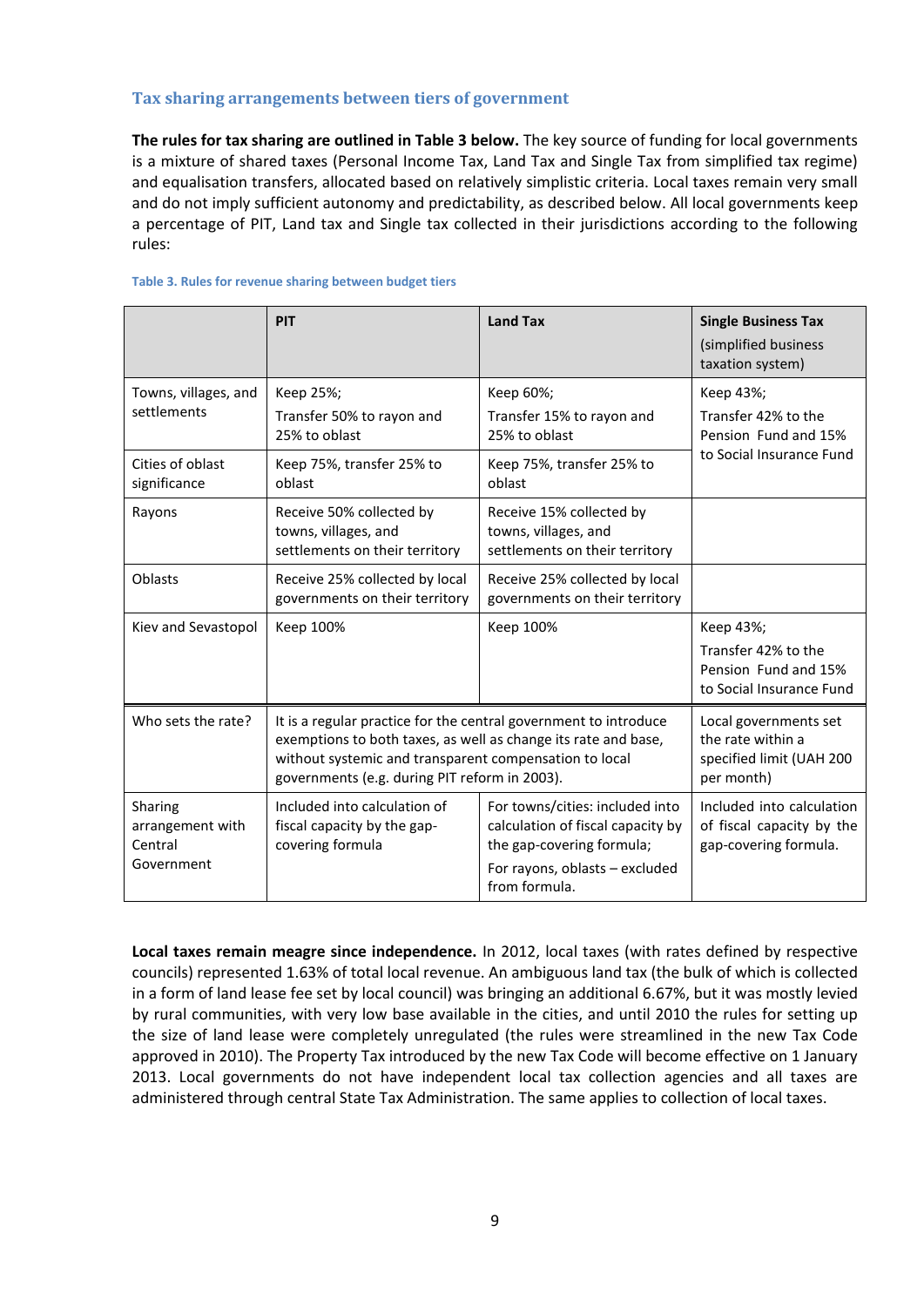#### <span id="page-8-0"></span>**Tax sharing arrangements between tiers of government**

**The rules for tax sharing are outlined i[n Table 3](#page-8-1) below.** The key source of funding for local governments is a mixture of shared taxes (Personal Income Tax, Land Tax and Single Tax from simplified tax regime) and equalisation transfers, allocated based on relatively simplistic criteria. Local taxes remain very small and do not imply sufficient autonomy and predictability, as described below. All local governments keep a percentage of PIT, Land tax and Single tax collected in their jurisdictions according to the following rules:

|                                                      | PIT                                                                                                                                                                                                                                           | <b>Land Tax</b>                                                                                                                                      | <b>Single Business Tax</b><br>(simplified business<br>taxation system)               |
|------------------------------------------------------|-----------------------------------------------------------------------------------------------------------------------------------------------------------------------------------------------------------------------------------------------|------------------------------------------------------------------------------------------------------------------------------------------------------|--------------------------------------------------------------------------------------|
| Towns, villages, and<br>settlements                  | Keep 25%;<br>Transfer 50% to rayon and<br>25% to oblast                                                                                                                                                                                       | Keep 60%;<br>Transfer 15% to rayon and<br>25% to oblast                                                                                              | Keep 43%;<br>Transfer 42% to the<br>Pension Fund and 15%                             |
| Cities of oblast<br>significance                     | Keep 75%, transfer 25% to<br>oblast                                                                                                                                                                                                           | Keep 75%, transfer 25% to<br>oblast                                                                                                                  | to Social Insurance Fund                                                             |
| Rayons                                               | Receive 50% collected by<br>towns, villages, and<br>settlements on their territory                                                                                                                                                            | Receive 15% collected by<br>towns, villages, and<br>settlements on their territory                                                                   |                                                                                      |
| Oblasts                                              | Receive 25% collected by local<br>governments on their territory                                                                                                                                                                              | Receive 25% collected by local<br>governments on their territory                                                                                     |                                                                                      |
| Kiev and Sevastopol                                  | Keep 100%                                                                                                                                                                                                                                     | Keep 100%                                                                                                                                            | Keep 43%;<br>Transfer 42% to the<br>Pension Fund and 15%<br>to Social Insurance Fund |
| Who sets the rate?                                   | It is a regular practice for the central government to introduce<br>exemptions to both taxes, as well as change its rate and base,<br>without systemic and transparent compensation to local<br>governments (e.g. during PIT reform in 2003). | Local governments set<br>the rate within a<br>specified limit (UAH 200<br>per month)                                                                 |                                                                                      |
| Sharing<br>arrangement with<br>Central<br>Government | Included into calculation of<br>fiscal capacity by the gap-<br>covering formula                                                                                                                                                               | For towns/cities: included into<br>calculation of fiscal capacity by<br>the gap-covering formula;<br>For rayons, oblasts - excluded<br>from formula. | Included into calculation<br>of fiscal capacity by the<br>gap-covering formula.      |

#### <span id="page-8-1"></span>**Table 3. Rules for revenue sharing between budget tiers**

**Local taxes remain meagre since independence.** In 2012, local taxes (with rates defined by respective councils) represented 1.63% of total local revenue. An ambiguous land tax (the bulk of which is collected in a form of land lease fee set by local council) was bringing an additional 6.67%, but it was mostly levied by rural communities, with very low base available in the cities, and until 2010 the rules for setting up the size of land lease were completely unregulated (the rules were streamlined in the new Tax Code approved in 2010). The Property Tax introduced by the new Tax Code will become effective on 1 January 2013. Local governments do not have independent local tax collection agencies and all taxes are administered through central State Tax Administration. The same applies to collection of local taxes.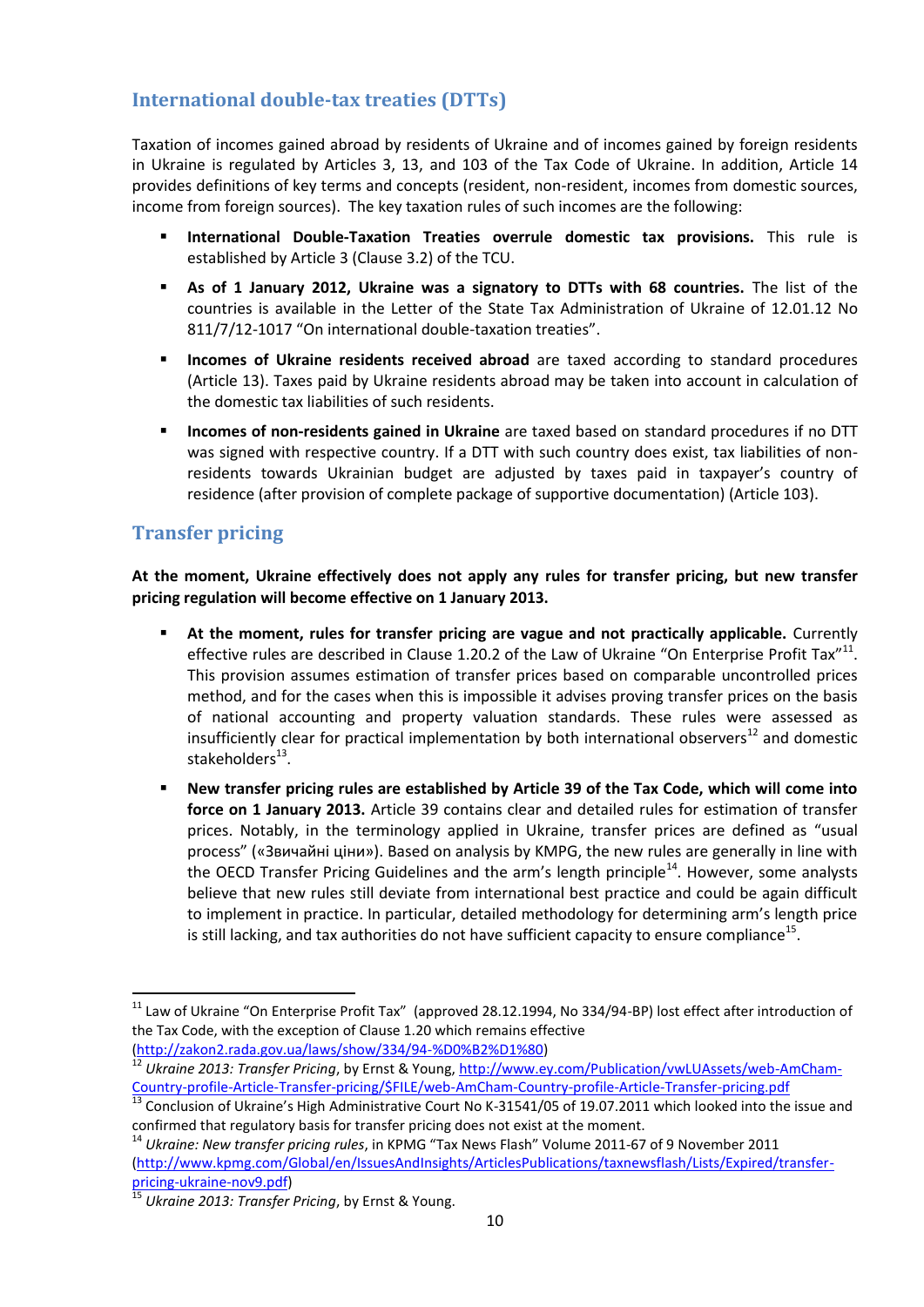### <span id="page-9-0"></span>**International double-tax treaties (DTTs)**

Taxation of incomes gained abroad by residents of Ukraine and of incomes gained by foreign residents in Ukraine is regulated by Articles 3, 13, and 103 of the Tax Code of Ukraine. In addition, Article 14 provides definitions of key terms and concepts (resident, non-resident, incomes from domestic sources, income from foreign sources). The key taxation rules of such incomes are the following:

- **International Double-Taxation Treaties overrule domestic tax provisions.** This rule is established by Article 3 (Clause 3.2) of the TCU.
- **As of 1 January 2012, Ukraine was a signatory to DTTs with 68 countries.** The list of the countries is available in the Letter of the State Tax Administration of Ukraine of 12.01.12 No 811/7/12-1017 "On international double-taxation treaties".
- **Incomes of Ukraine residents received abroad** are taxed according to standard procedures (Article 13). Taxes paid by Ukraine residents abroad may be taken into account in calculation of the domestic tax liabilities of such residents.
- **Incomes of non-residents gained in Ukraine** are taxed based on standard procedures if no DTT was signed with respective country. If a DTT with such country does exist, tax liabilities of nonresidents towards Ukrainian budget are adjusted by taxes paid in taxpayer's country of residence (after provision of complete package of supportive documentation) (Article 103).

### <span id="page-9-1"></span>**Transfer pricing**

**.** 

**At the moment, Ukraine effectively does not apply any rules for transfer pricing, but new transfer pricing regulation will become effective on 1 January 2013.**

- **At the moment, rules for transfer pricing are vague and not practically applicable.** Currently effective rules are described in Clause 1.20.2 of the Law of Ukraine "On Enterprise Profit Tax"<sup>11</sup>. This provision assumes estimation of transfer prices based on comparable uncontrolled prices method, and for the cases when this is impossible it advises proving transfer prices on the basis of national accounting and property valuation standards. These rules were assessed as insufficiently clear for practical implementation by both international observers<sup>12</sup> and domestic stakeholders<sup>13</sup>.
- **New transfer pricing rules are established by Article 39 of the Tax Code, which will come into force on 1 January 2013.** Article 39 contains clear and detailed rules for estimation of transfer prices. Notably, in the terminology applied in Ukraine, transfer prices are defined as "usual process" («Звичайні ціни»). Based on analysis by KMPG, the new rules are generally in line with the OECD Transfer Pricing Guidelines and the arm's length principle<sup>14</sup>. However, some analysts believe that new rules still deviate from international best practice and could be again difficult to implement in practice. In particular, detailed methodology for determining arm's length price is still lacking, and tax authorities do not have sufficient capacity to ensure compliance<sup>15</sup>.

<sup>&</sup>lt;sup>11</sup> Law of Ukraine "On Enterprise Profit Tax" (approved 28.12.1994, No 334/94-BP) lost effect after introduction of the Tax Code, with the exception of Clause 1.20 which remains effective [\(http://zakon2.rada.gov.ua/laws/show/334/94-%D0%B2%D1%80\)](http://zakon2.rada.gov.ua/laws/show/334/94-%D0%B2%D1%80)

<sup>12</sup> Ukraine 2013: Transfer Pricing, by Ernst & Young, [http://www.ey.com/Publication/vwLUAssets/web-AmCham-](http://www.ey.com/Publication/vwLUAssets/web-AmCham-Country-profile-Article-Transfer-pricing/$FILE/web-AmCham-Country-profile-Article-Transfer-pricing.pdf)[Country-profile-Article-Transfer-pricing/\\$FILE/web-AmCham-Country-profile-Article-Transfer-pricing.pdf](http://www.ey.com/Publication/vwLUAssets/web-AmCham-Country-profile-Article-Transfer-pricing/$FILE/web-AmCham-Country-profile-Article-Transfer-pricing.pdf)

<sup>&</sup>lt;sup>13</sup> Conclusion of Ukraine's High Administrative Court No K-31541/05 of 19.07.2011 which looked into the issue and confirmed that regulatory basis for transfer pricing does not exist at the moment.

<sup>14</sup> *Ukraine: New transfer pricing rules*, in KPMG "Tax News Flash" Volume 2011-67 of 9 November 2011 [\(http://www.kpmg.com/Global/en/IssuesAndInsights/ArticlesPublications/taxnewsflash/Lists/Expired/transfer](http://www.kpmg.com/Global/en/IssuesAndInsights/ArticlesPublications/taxnewsflash/Lists/Expired/transfer-pricing-ukraine-nov9.pdf)[pricing-ukraine-nov9.pdf\)](http://www.kpmg.com/Global/en/IssuesAndInsights/ArticlesPublications/taxnewsflash/Lists/Expired/transfer-pricing-ukraine-nov9.pdf)

<sup>15</sup> *Ukraine 2013: Transfer Pricing*, by Ernst & Young.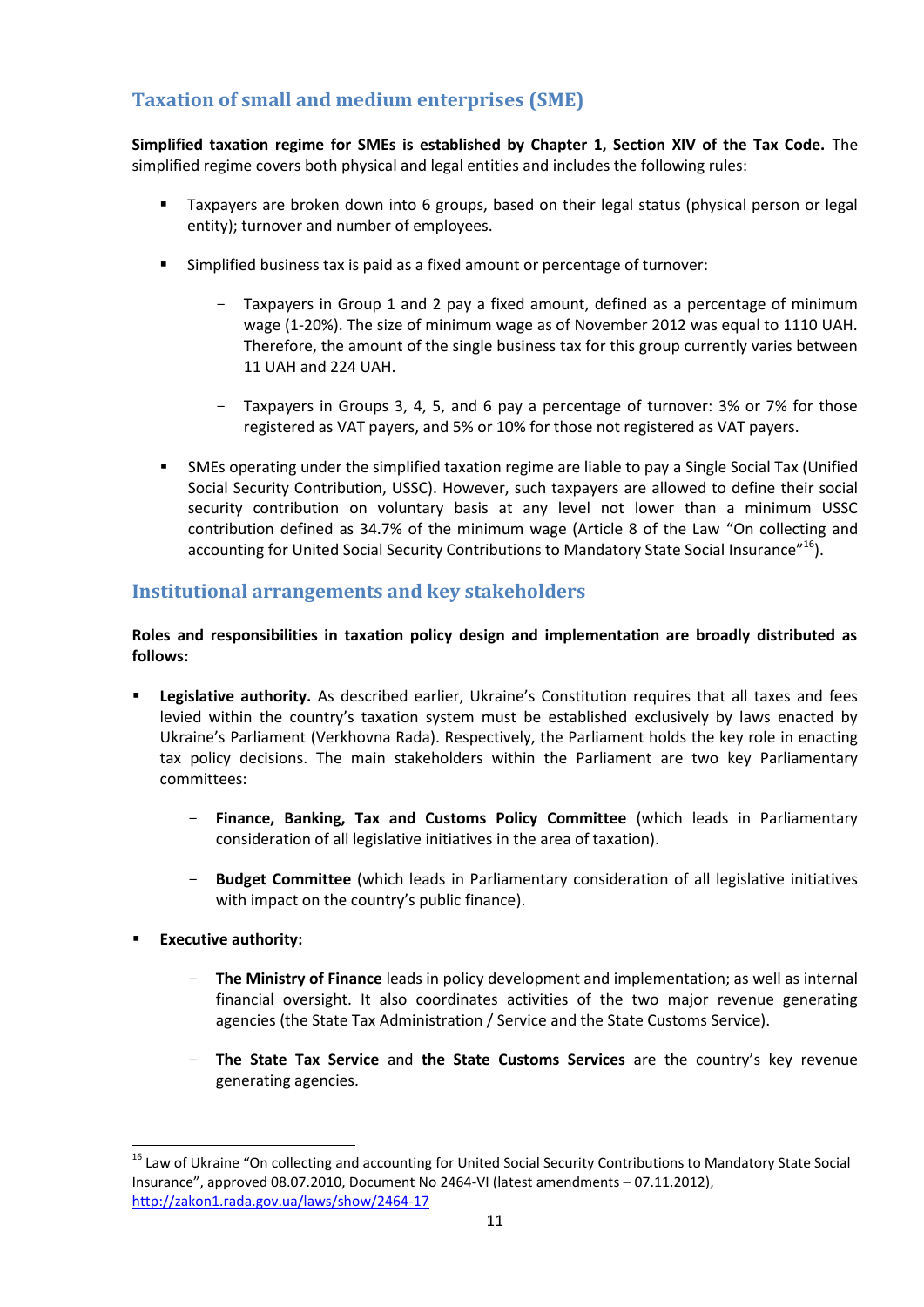### <span id="page-10-0"></span>**Taxation of small and medium enterprises (SME)**

**Simplified taxation regime for SMEs is established by Chapter 1, Section XIV of the Tax Code.** The simplified regime covers both physical and legal entities and includes the following rules:

- Taxpayers are broken down into 6 groups, based on their legal status (physical person or legal entity); turnover and number of employees.
- Simplified business tax is paid as a fixed amount or percentage of turnover:
	- Taxpayers in Group 1 and 2 pay a fixed amount, defined as a percentage of minimum wage (1-20%). The size of minimum wage as of November 2012 was equal to 1110 UAH. Therefore, the amount of the single business tax for this group currently varies between 11 UAH and 224 UAH.
	- Taxpayers in Groups 3, 4, 5, and 6 pay a percentage of turnover: 3% or 7% for those registered as VAT payers, and 5% or 10% for those not registered as VAT payers.
- SMEs operating under the simplified taxation regime are liable to pay a Single Social Tax (Unified Social Security Contribution, USSC). However, such taxpayers are allowed to define their social security contribution on voluntary basis at any level not lower than a minimum USSC contribution defined as 34.7% of the minimum wage (Article 8 of the Law "On collecting and accounting for United Social Security Contributions to Mandatory State Social Insurance"<sup>16</sup>).

### <span id="page-10-1"></span>**Institutional arrangements and key stakeholders**

#### **Roles and responsibilities in taxation policy design and implementation are broadly distributed as follows:**

- **Legislative authority.** As described earlier, Ukraine's Constitution requires that all taxes and fees levied within the country's taxation system must be established exclusively by laws enacted by Ukraine's Parliament (Verkhovna Rada). Respectively, the Parliament holds the key role in enacting tax policy decisions. The main stakeholders within the Parliament are two key Parliamentary committees:
	- **Finance, Banking, Tax and Customs Policy Committee** (which leads in Parliamentary consideration of all legislative initiatives in the area of taxation).
	- **Budget Committee** (which leads in Parliamentary consideration of all legislative initiatives with impact on the country's public finance).
- **Executive authority:**

**.** 

- **The Ministry of Finance** leads in policy development and implementation; as well as internal financial oversight. It also coordinates activities of the two major revenue generating agencies (the State Tax Administration / Service and the State Customs Service).
- **The State Tax Service** and **the State Customs Services** are the country's key revenue generating agencies.

<sup>&</sup>lt;sup>16</sup> Law of Ukraine "On collecting and accounting for United Social Security Contributions to Mandatory State Social Insurance", approved 08.07.2010, Document No 2464-VI (latest amendments – 07.11.2012), <http://zakon1.rada.gov.ua/laws/show/2464-17>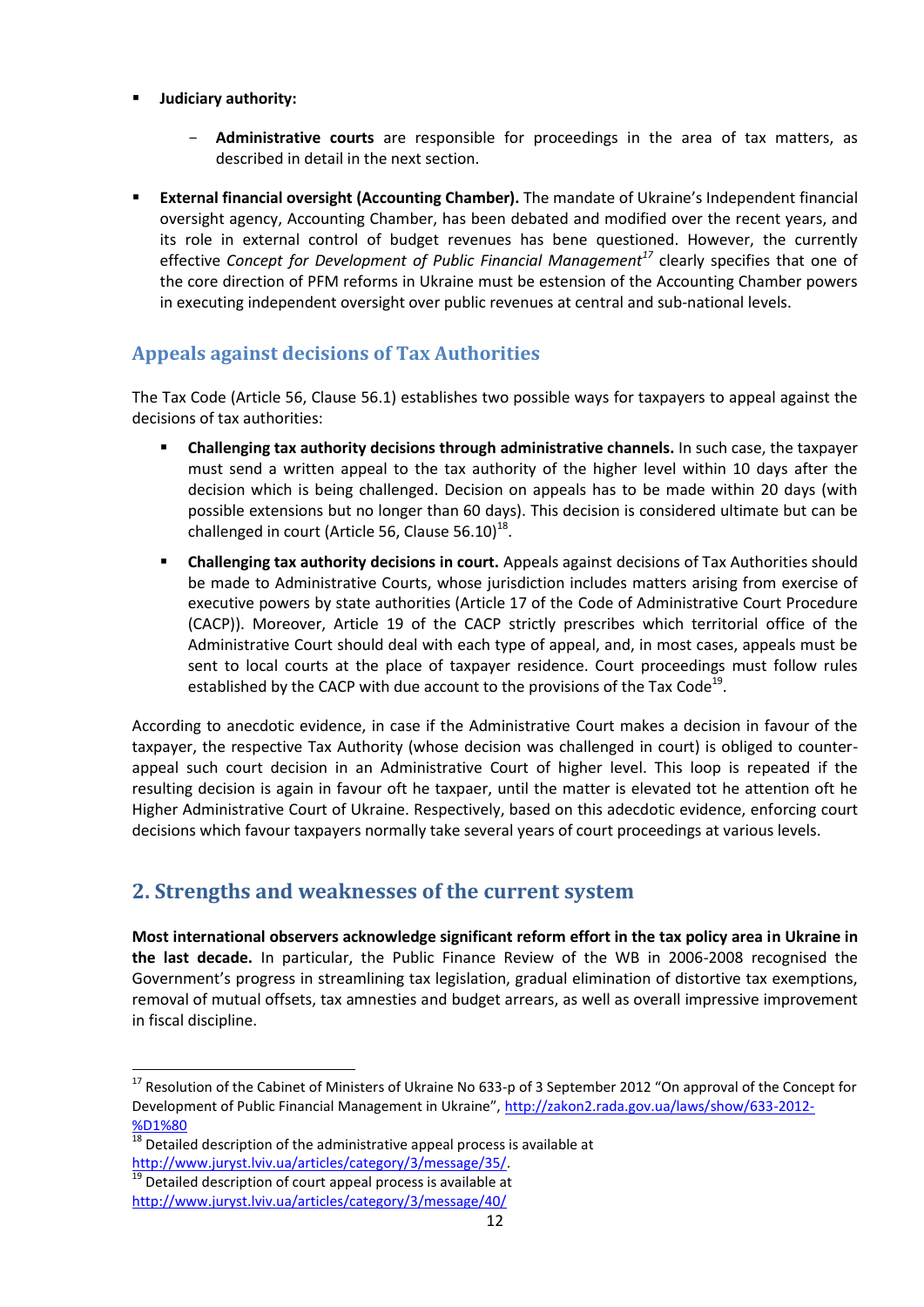- **Judiciary authority:**
	- **Administrative courts** are responsible for proceedings in the area of tax matters, as described in detail in the next section.
- **External financial oversight (Accounting Chamber).** The mandate of Ukraine's Independent financial oversight agency, Accounting Chamber, has been debated and modified over the recent years, and its role in external control of budget revenues has bene questioned. However, the currently effective *Concept for Development of Public Financial Management<sup>17</sup>* clearly specifies that one of the core direction of PFM reforms in Ukraine must be estension of the Accounting Chamber powers in executing independent oversight over public revenues at central and sub-national levels.

### <span id="page-11-0"></span>**Appeals against decisions of Tax Authorities**

The Tax Code (Article 56, Clause 56.1) establishes two possible ways for taxpayers to appeal against the decisions of tax authorities:

- **Challenging tax authority decisions through administrative channels.** In such case, the taxpayer must send a written appeal to the tax authority of the higher level within 10 days after the decision which is being challenged. Decision on appeals has to be made within 20 days (with possible extensions but no longer than 60 days). This decision is considered ultimate but can be challenged in court (Article 56, Clause 56.10)<sup>18</sup>.
- **Challenging tax authority decisions in court.** Appeals against decisions of Tax Authorities should be made to Administrative Courts, whose jurisdiction includes matters arising from exercise of executive powers by state authorities (Article 17 of the Code of Administrative Court Procedure (CACP)). Moreover, Article 19 of the CACP strictly prescribes which territorial office of the Administrative Court should deal with each type of appeal, and, in most cases, appeals must be sent to local courts at the place of taxpayer residence. Court proceedings must follow rules established by the CACP with due account to the provisions of the Tax Code<sup>19</sup>.

According to anecdotic evidence, in case if the Administrative Court makes a decision in favour of the taxpayer, the respective Tax Authority (whose decision was challenged in court) is obliged to counterappeal such court decision in an Administrative Court of higher level. This loop is repeated if the resulting decision is again in favour oft he taxpaer, until the matter is elevated tot he attention oft he Higher Administrative Court of Ukraine. Respectively, based on this adecdotic evidence, enforcing court decisions which favour taxpayers normally take several years of court proceedings at various levels.

### <span id="page-11-1"></span>**2. Strengths and weaknesses of the current system**

**Most international observers acknowledge significant reform effort in the tax policy area in Ukraine in the last decade.** In particular, the Public Finance Review of the WB in 2006-2008 recognised the Government's progress in streamlining tax legislation, gradual elimination of distortive tax exemptions, removal of mutual offsets, tax amnesties and budget arrears, as well as overall impressive improvement in fiscal discipline.

<sup>&</sup>lt;sup>17</sup> Resolution of the Cabinet of Ministers of Ukraine No 633-p of 3 September 2012 "On approval of the Concept for Development of Public Financial Management in Ukraine", [http://zakon2.rada.gov.ua/laws/show/633-2012-](http://zakon2.rada.gov.ua/laws/show/633-2012-%D1%80) [%D1%80](http://zakon2.rada.gov.ua/laws/show/633-2012-%D1%80)

 $18$  Detailed description of the administrative appeal process is available at [http://www.juryst.lviv.ua/articles/category/3/message/35/.](http://www.juryst.lviv.ua/articles/category/3/message/35/)

 $\overline{19}$  Detailed description of court appeal process is available at

<http://www.juryst.lviv.ua/articles/category/3/message/40/>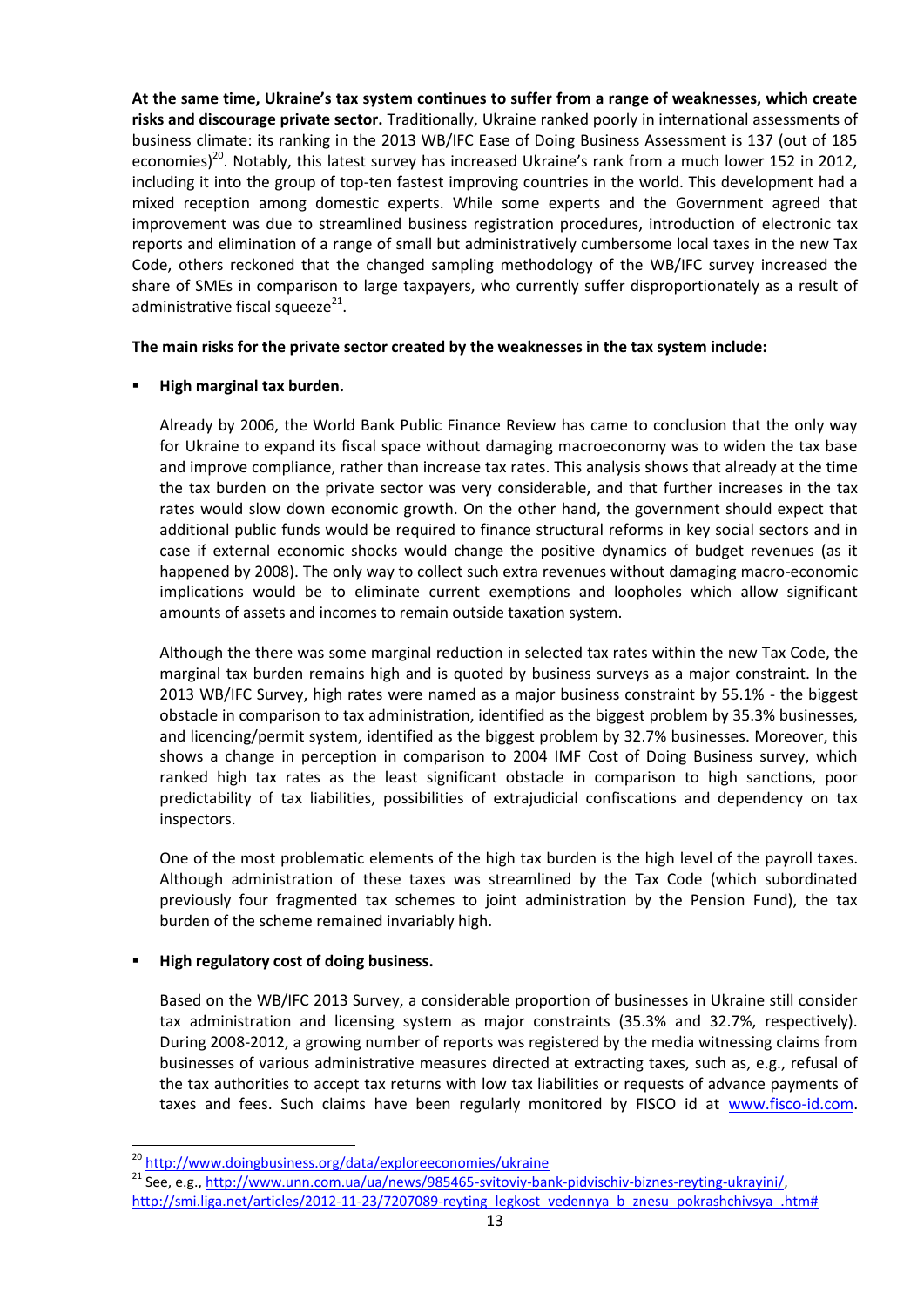**At the same time, Ukraine's tax system continues to suffer from a range of weaknesses, which create risks and discourage private sector.** Traditionally, Ukraine ranked poorly in international assessments of business climate: its ranking in the 2013 WB/IFC Ease of Doing Business Assessment is 137 (out of 185 economies)<sup>20</sup>. Notably, this latest survey has increased Ukraine's rank from a much lower 152 in 2012, including it into the group of top-ten fastest improving countries in the world. This development had a mixed reception among domestic experts. While some experts and the Government agreed that improvement was due to streamlined business registration procedures, introduction of electronic tax reports and elimination of a range of small but administratively cumbersome local taxes in the new Tax Code, others reckoned that the changed sampling methodology of the WB/IFC survey increased the share of SMEs in comparison to large taxpayers, who currently suffer disproportionately as a result of administrative fiscal squeeze<sup>21</sup>.

#### **The main risks for the private sector created by the weaknesses in the tax system include:**

#### **High marginal tax burden.**

Already by 2006, the World Bank Public Finance Review has came to conclusion that the only way for Ukraine to expand its fiscal space without damaging macroeconomy was to widen the tax base and improve compliance, rather than increase tax rates. This analysis shows that already at the time the tax burden on the private sector was very considerable, and that further increases in the tax rates would slow down economic growth. On the other hand, the government should expect that additional public funds would be required to finance structural reforms in key social sectors and in case if external economic shocks would change the positive dynamics of budget revenues (as it happened by 2008). The only way to collect such extra revenues without damaging macro-economic implications would be to eliminate current exemptions and loopholes which allow significant amounts of assets and incomes to remain outside taxation system.

Although the there was some marginal reduction in selected tax rates within the new Tax Code, the marginal tax burden remains high and is quoted by business surveys as a major constraint. In the 2013 WB/IFC Survey, high rates were named as a major business constraint by 55.1% - the biggest obstacle in comparison to tax administration, identified as the biggest problem by 35.3% businesses, and licencing/permit system, identified as the biggest problem by 32.7% businesses. Moreover, this shows a change in perception in comparison to 2004 IMF Cost of Doing Business survey, which ranked high tax rates as the least significant obstacle in comparison to high sanctions, poor predictability of tax liabilities, possibilities of extrajudicial confiscations and dependency on tax inspectors.

One of the most problematic elements of the high tax burden is the high level of the payroll taxes. Although administration of these taxes was streamlined by the Tax Code (which subordinated previously four fragmented tax schemes to joint administration by the Pension Fund), the tax burden of the scheme remained invariably high.

#### **High regulatory cost of doing business.**

**.** 

Based on the WB/IFC 2013 Survey, a considerable proportion of businesses in Ukraine still consider tax administration and licensing system as major constraints (35.3% and 32.7%, respectively). During 2008-2012, a growing number of reports was registered by the media witnessing claims from businesses of various administrative measures directed at extracting taxes, such as, e.g., refusal of the tax authorities to accept tax returns with low tax liabilities or requests of advance payments of taxes and fees. Such claims have been regularly monitored by FISCO id at [www.fisco-id.com.](http://www.fisco-id.com/)

<sup>&</sup>lt;sup>20</sup> <http://www.doingbusiness.org/data/exploreeconomies/ukraine>

<sup>21</sup> See, e.g.[, http://www.unn.com.ua/ua/news/985465-svitoviy-bank-pidvischiv-biznes-reyting-ukrayini/,](http://www.unn.com.ua/ua/news/985465-svitoviy-bank-pidvischiv-biznes-reyting-ukrayini/) [http://smi.liga.net/articles/2012-11-23/7207089-reyting\\_legkost\\_vedennya\\_b\\_znesu\\_pokrashchivsya\\_.htm#](http://smi.liga.net/articles/2012-11-23/7207089-reyting_legkost_vedennya_b_znesu_pokrashchivsya_.htm)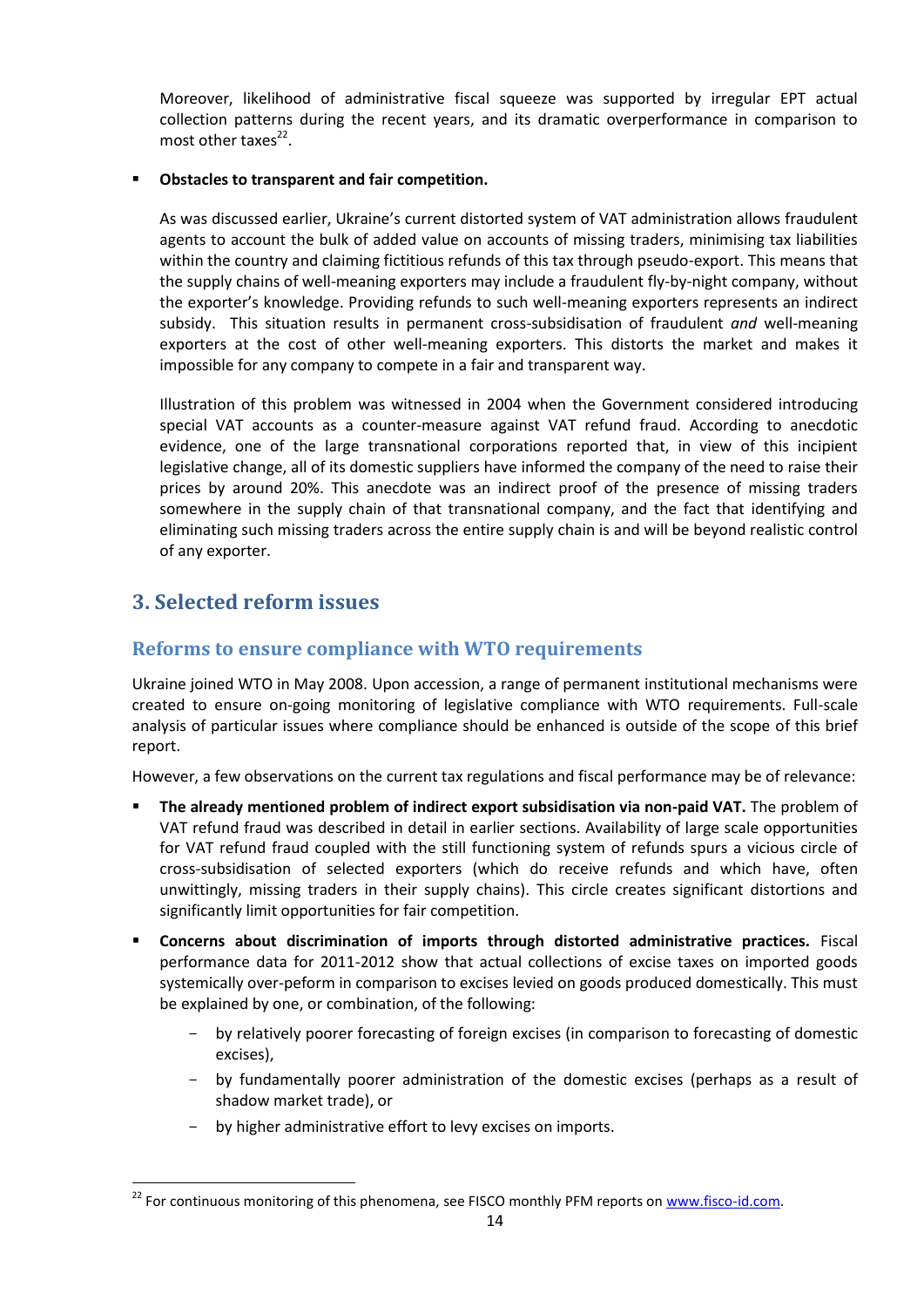Moreover, likelihood of administrative fiscal squeeze was supported by irregular EPT actual collection patterns during the recent years, and its dramatic overperformance in comparison to most other taxes<sup>22</sup>.

#### **Obstacles to transparent and fair competition.**

As was discussed earlier, Ukraine's current distorted system of VAT administration allows fraudulent agents to account the bulk of added value on accounts of missing traders, minimising tax liabilities within the country and claiming fictitious refunds of this tax through pseudo-export. This means that the supply chains of well-meaning exporters may include a fraudulent fly-by-night company, without the exporter's knowledge. Providing refunds to such well-meaning exporters represents an indirect subsidy. This situation results in permanent cross-subsidisation of fraudulent *and* well-meaning exporters at the cost of other well-meaning exporters. This distorts the market and makes it impossible for any company to compete in a fair and transparent way.

Illustration of this problem was witnessed in 2004 when the Government considered introducing special VAT accounts as a counter-measure against VAT refund fraud. According to anecdotic evidence, one of the large transnational corporations reported that, in view of this incipient legislative change, all of its domestic suppliers have informed the company of the need to raise their prices by around 20%. This anecdote was an indirect proof of the presence of missing traders somewhere in the supply chain of that transnational company, and the fact that identifying and eliminating such missing traders across the entire supply chain is and will be beyond realistic control of any exporter.

### <span id="page-13-0"></span>**3. Selected reform issues**

**.** 

#### <span id="page-13-1"></span>**Reforms to ensure compliance with WTO requirements**

Ukraine joined WTO in May 2008. Upon accession, a range of permanent institutional mechanisms were created to ensure on-going monitoring of legislative compliance with WTO requirements. Full-scale analysis of particular issues where compliance should be enhanced is outside of the scope of this brief report.

However, a few observations on the current tax regulations and fiscal performance may be of relevance:

- **The already mentioned problem of indirect export subsidisation via non-paid VAT.** The problem of VAT refund fraud was described in detail in earlier sections. Availability of large scale opportunities for VAT refund fraud coupled with the still functioning system of refunds spurs a vicious circle of cross-subsidisation of selected exporters (which do receive refunds and which have, often unwittingly, missing traders in their supply chains). This circle creates significant distortions and significantly limit opportunities for fair competition.
- **Concerns about discrimination of imports through distorted administrative practices.** Fiscal performance data for 2011-2012 show that actual collections of excise taxes on imported goods systemically over-peform in comparison to excises levied on goods produced domestically. This must be explained by one, or combination, of the following:
	- by relatively poorer forecasting of foreign excises (in comparison to forecasting of domestic excises),
	- by fundamentally poorer administration of the domestic excises (perhaps as a result of shadow market trade), or
	- by higher administrative effort to levy excises on imports.

<sup>&</sup>lt;sup>22</sup> For continuous monitoring of this phenomena, see FISCO monthly PFM reports o[n www.fisco-id.com.](http://www.fisco-id.com/)